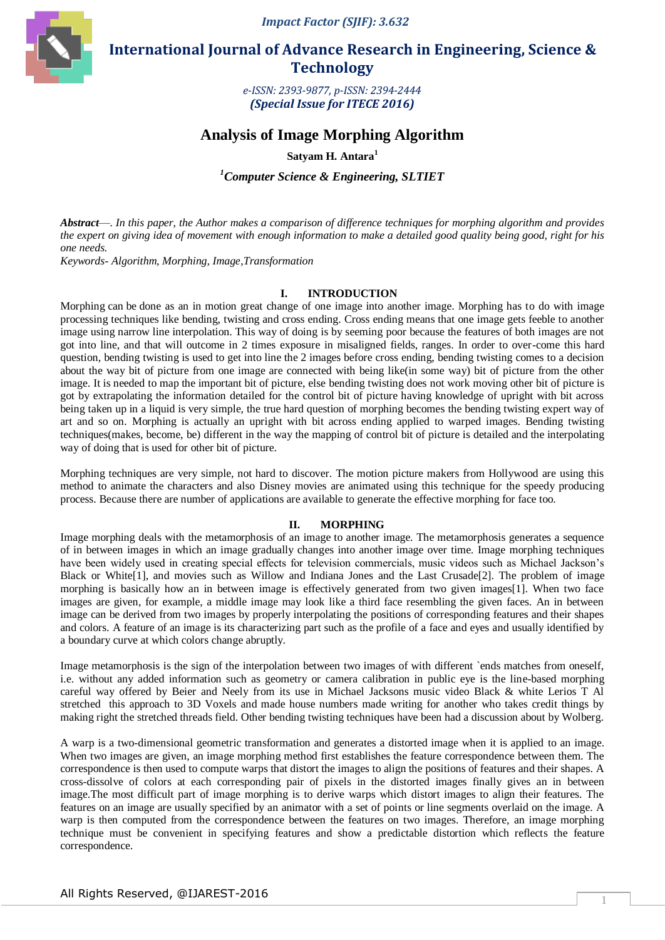*Impact Factor (SJIF): 3.632*



 **International Journal of Advance Research in Engineering, Science & Technology** 

> *e-ISSN: 2393-9877, p-ISSN: 2394-2444 (Special Issue for ITECE 2016)*

# **Analysis of Image Morphing Algorithm**

**Satyam H. Antara<sup>1</sup>**

*<sup>1</sup>Computer Science & Engineering, SLTIET*

*Abstract*—*. In this paper, the Author makes a comparison of difference techniques for morphing algorithm and provides the expert on giving idea of movement with enough information to make a detailed good quality being good, right for his one needs.*

*Keywords- Algorithm, Morphing, Image,Transformation*

## **I. INTRODUCTION**

Morphing can be done as an in motion great change of one image into another image. Morphing has to do with image processing techniques like bending, twisting and cross ending. Cross ending means that one image gets feeble to another image using narrow line interpolation. This way of doing is by seeming poor because the features of both images are not got into line, and that will outcome in 2 times exposure in misaligned fields, ranges. In order to over-come this hard question, bending twisting is used to get into line the 2 images before cross ending, bending twisting comes to a decision about the way bit of picture from one image are connected with being like(in some way) bit of picture from the other image. It is needed to map the important bit of picture, else bending twisting does not work moving other bit of picture is got by extrapolating the information detailed for the control bit of picture having knowledge of upright with bit across being taken up in a liquid is very simple, the true hard question of morphing becomes the bending twisting expert way of art and so on. Morphing is actually an upright with bit across ending applied to warped images. Bending twisting techniques(makes, become, be) different in the way the mapping of control bit of picture is detailed and the interpolating way of doing that is used for other bit of picture.

Morphing techniques are very simple, not hard to discover. The motion picture makers from Hollywood are using this method to animate the characters and also Disney movies are animated using this technique for the speedy producing process. Because there are number of applications are available to generate the effective morphing for face too.

## **II. MORPHING**

Image morphing deals with the metamorphosis of an image to another image. The metamorphosis generates a sequence of in between images in which an image gradually changes into another image over time. Image morphing techniques have been widely used in creating special effects for television commercials, music videos such as Michael Jackson's Black or White[1], and movies such as Willow and Indiana Jones and the Last Crusade[2]. The problem of image morphing is basically how an in between image is effectively generated from two given images[1]. When two face images are given, for example, a middle image may look like a third face resembling the given faces. An in between image can be derived from two images by properly interpolating the positions of corresponding features and their shapes and colors. A feature of an image is its characterizing part such as the profile of a face and eyes and usually identified by a boundary curve at which colors change abruptly.

Image metamorphosis is the sign of the interpolation between two images of with different `ends matches from oneself, i.e. without any added information such as geometry or camera calibration in public eye is the line-based morphing careful way offered by Beier and Neely from its use in Michael Jacksons music video Black & white Lerios T Al stretched this approach to 3D Voxels and made house numbers made writing for another who takes credit things by making right the stretched threads field. Other bending twisting techniques have been had a discussion about by Wolberg.

A warp is a two-dimensional geometric transformation and generates a distorted image when it is applied to an image. When two images are given, an image morphing method first establishes the feature correspondence between them. The correspondence is then used to compute warps that distort the images to align the positions of features and their shapes. A cross-dissolve of colors at each corresponding pair of pixels in the distorted images finally gives an in between image.The most difficult part of image morphing is to derive warps which distort images to align their features. The features on an image are usually specified by an animator with a set of points or line segments overlaid on the image. A warp is then computed from the correspondence between the features on two images. Therefore, an image morphing technique must be convenient in specifying features and show a predictable distortion which reflects the feature correspondence.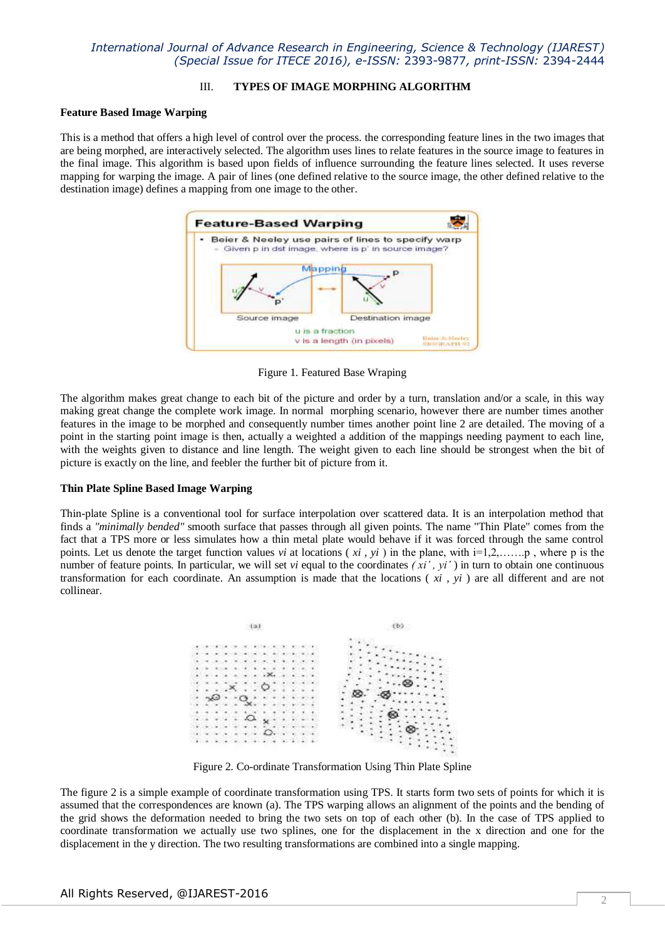# *International Journal of Advance Research in Engineering, Science & Technology (IJAREST) (Special Issue for ITECE 2016), e-ISSN:* 2393-9877*, print-ISSN:* 2394-2444

## III. **TYPES OF IMAGE MORPHING ALGORITHM**

#### **Feature Based Image Warping**

This is a method that offers a high level of control over the process. the corresponding feature lines in the two images that are being morphed, are interactively selected. The algorithm uses lines to relate features in the source image to features in the final image. This algorithm is based upon fields of influence surrounding the feature lines selected. It uses reverse mapping for warping the image. A pair of lines (one defined relative to the source image, the other defined relative to the destination image) defines a mapping from one image to the other.



Figure 1. Featured Base Wraping

The algorithm makes great change to each bit of the picture and order by a turn, translation and/or a scale, in this way making great change the complete work image. In normal morphing scenario, however there are number times another features in the image to be morphed and consequently number times another point line 2 are detailed. The moving of a point in the starting point image is then, actually a weighted a addition of the mappings needing payment to each line, with the weights given to distance and line length. The weight given to each line should be strongest when the bit of picture is exactly on the line, and feebler the further bit of picture from it.

#### **Thin Plate Spline Based Image Warping**

Thin-plate Spline is a conventional tool for surface interpolation over scattered data. It is an interpolation method that finds a *"minimally bended"* smooth surface that passes through all given points. The name "Thin Plate" comes from the fact that a TPS more or less simulates how a thin metal plate would behave if it was forced through the same control points. Let us denote the target function values *vi* at locations (*xi*, *yi*) in the plane, with  $i=1,2,...,p$ , where p is the number of feature points. In particular, we will set *vi* equal to the coordinates  $(x_i', y_i')$  in turn to obtain one continuous transformation for each coordinate. An assumption is made that the locations ( *xi , yi* ) are all different and are not collinear.



Figure 2. Co-ordinate Transformation Using Thin Plate Spline

The figure 2 is a simple example of coordinate transformation using TPS. It starts form two sets of points for which it is assumed that the correspondences are known (a). The TPS warping allows an alignment of the points and the bending of the grid shows the deformation needed to bring the two sets on top of each other (b). In the case of TPS applied to coordinate transformation we actually use two splines, one for the displacement in the x direction and one for the displacement in the y direction. The two resulting transformations are combined into a single mapping.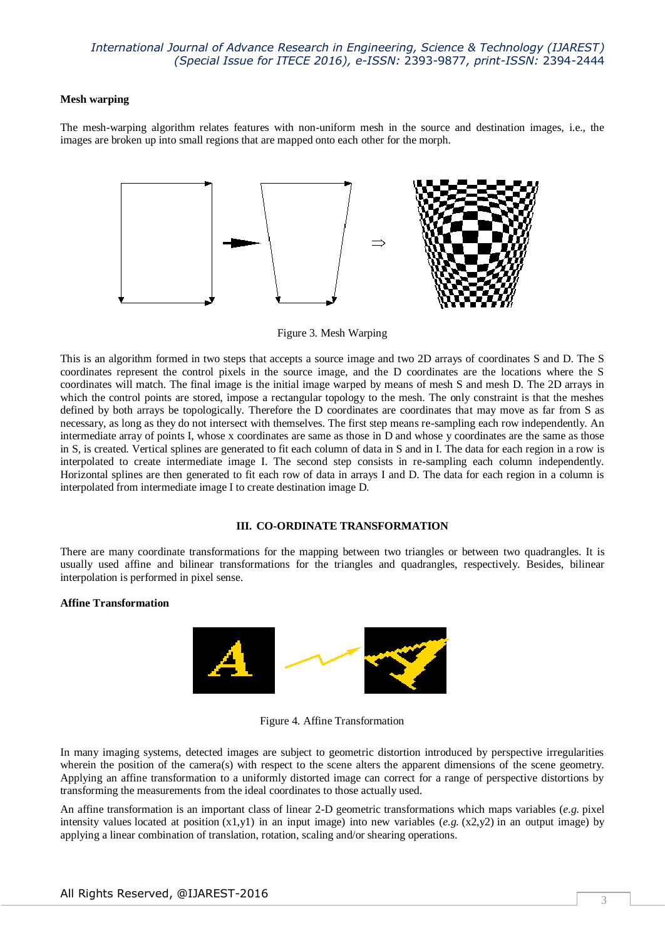## *International Journal of Advance Research in Engineering, Science & Technology (IJAREST) (Special Issue for ITECE 2016), e-ISSN:* 2393-9877*, print-ISSN:* 2394-2444

#### **Mesh warping**

The mesh-warping algorithm relates features with non-uniform mesh in the source and destination images, i.e., the images are broken up into small regions that are mapped onto each other for the morph.



Figure 3. Mesh Warping

This is an algorithm formed in two steps that accepts a source image and two 2D arrays of coordinates S and D. The S coordinates represent the control pixels in the source image, and the D coordinates are the locations where the S coordinates will match. The final image is the initial image warped by means of mesh S and mesh D. The 2D arrays in which the control points are stored, impose a rectangular topology to the mesh. The only constraint is that the meshes defined by both arrays be topologically. Therefore the D coordinates are coordinates that may move as far from S as necessary, as long as they do not intersect with themselves. The first step means re-sampling each row independently. An intermediate array of points I, whose x coordinates are same as those in D and whose y coordinates are the same as those in S, is created. Vertical splines are generated to fit each column of data in S and in I. The data for each region in a row is interpolated to create intermediate image I. The second step consists in re-sampling each column independently. Horizontal splines are then generated to fit each row of data in arrays I and D. The data for each region in a column is interpolated from intermediate image I to create destination image D.

## **III. CO-ORDINATE TRANSFORMATION**

There are many coordinate transformations for the mapping between two triangles or between two quadrangles. It is usually used affine and bilinear transformations for the triangles and quadrangles, respectively. Besides, bilinear interpolation is performed in pixel sense.

#### **Affine Transformation**



Figure 4. Affine Transformation

In many imaging systems, detected images are subject to geometric distortion introduced by perspective irregularities wherein the position of the camera(s) with respect to the scene alters the apparent dimensions of the scene geometry. Applying an affine transformation to a uniformly distorted image can correct for a range of perspective distortions by transforming the measurements from the ideal coordinates to those actually used.

An affine transformation is an important class of linear 2-D geometric transformations which maps variables (*e.g.* [pixel](http://homepages.inf.ed.ac.uk/rbf/HIPR2/value.htm)  [intensity values](http://homepages.inf.ed.ac.uk/rbf/HIPR2/value.htm) located at position  $(x1,y1)$  in an input image) into new variables  $(e.g. (x2,y2)$  in an output image) by applying a linear combination of [translation,](http://homepages.inf.ed.ac.uk/rbf/HIPR2/translte.htm) [rotation,](http://homepages.inf.ed.ac.uk/rbf/HIPR2/rotate.htm) [scaling](http://homepages.inf.ed.ac.uk/rbf/HIPR2/scale.htm) and/or shearing operations.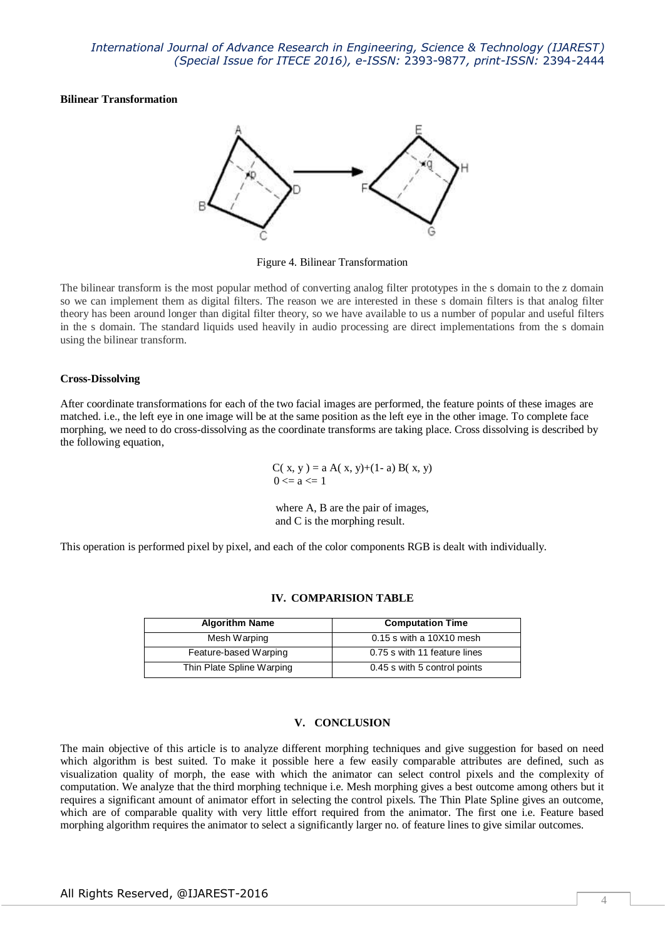## **Bilinear Transformation**



Figure 4. Bilinear Transformation

The bilinear transform is the most popular method of converting analog filter prototypes in the s domain to the z domain so we can implement them as digital filters. The reason we are interested in these s domain filters is that analog filter theory has been around longer than digital filter theory, so we have available to us a number of popular and useful filters in the s domain. The standard liquids used heavily in audio processing are direct implementations from the s domain using the bilinear transform.

## **Cross-Dissolving**

After coordinate transformations for each of the two facial images are performed, the feature points of these images are matched. i.e., the left eye in one image will be at the same position as the left eye in the other image. To complete face morphing, we need to do cross-dissolving as the coordinate transforms are taking place. Cross dissolving is described by the following equation,

> C( x, y) = a A( x, y)+(1- a) B( x, y)  $0 \le a \le 1$

where A, B are the pair of images, and C is the morphing result.

This operation is performed pixel by pixel, and each of the color components RGB is dealt with individually.

| <b>Algorithm Name</b>     | <b>Computation Time</b>      |
|---------------------------|------------------------------|
| Mesh Warping              | $0.15$ s with a 10X10 mesh   |
| Feature-based Warping     | 0.75 s with 11 feature lines |
| Thin Plate Spline Warping | 0.45 s with 5 control points |

#### **IV. COMPARISION TABLE**

## **V. CONCLUSION**

The main objective of this article is to analyze different morphing techniques and give suggestion for based on need which algorithm is best suited. To make it possible here a few easily comparable attributes are defined, such as visualization quality of morph, the ease with which the animator can select control pixels and the complexity of computation. We analyze that the third morphing technique i.e. Mesh morphing gives a best outcome among others but it requires a significant amount of animator effort in selecting the control pixels. The Thin Plate Spline gives an outcome, which are of comparable quality with very little effort required from the animator. The first one i.e. Feature based morphing algorithm requires the animator to select a significantly larger no. of feature lines to give similar outcomes.